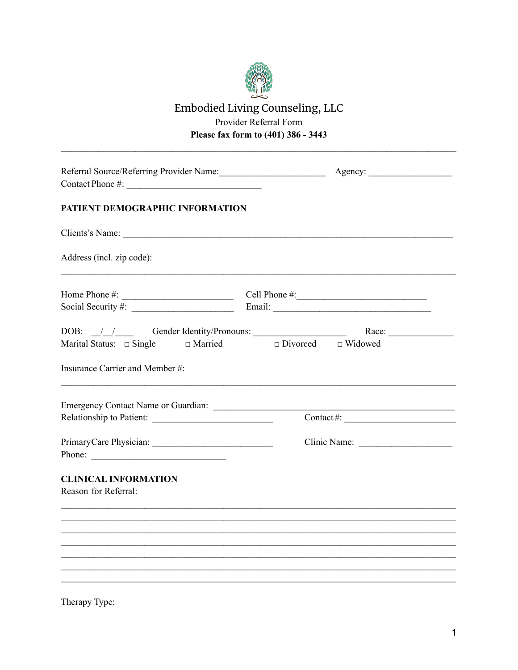

## Embodied Living Counseling, LLC Provider Referral Form Please fax form to (401) 386 - 3443

| Referral Source/Referring Provider Name:            |                                                                                                                                                                                                                                                                                                                                                                                                                               |  |  |  |  |  |
|-----------------------------------------------------|-------------------------------------------------------------------------------------------------------------------------------------------------------------------------------------------------------------------------------------------------------------------------------------------------------------------------------------------------------------------------------------------------------------------------------|--|--|--|--|--|
| PATIENT DEMOGRAPHIC INFORMATION                     |                                                                                                                                                                                                                                                                                                                                                                                                                               |  |  |  |  |  |
| Clients's Name:                                     |                                                                                                                                                                                                                                                                                                                                                                                                                               |  |  |  |  |  |
| Address (incl. zip code):                           |                                                                                                                                                                                                                                                                                                                                                                                                                               |  |  |  |  |  |
|                                                     |                                                                                                                                                                                                                                                                                                                                                                                                                               |  |  |  |  |  |
|                                                     | DOB: $\frac{1}{\sqrt{1-\frac{1}{\sqrt{1-\frac{1}{\sqrt{1-\frac{1}{\sqrt{1-\frac{1}{\sqrt{1-\frac{1}{\sqrt{1-\frac{1}{\sqrt{1-\frac{1}{\sqrt{1-\frac{1}{\sqrt{1-\frac{1}{\sqrt{1-\frac{1}{\sqrt{1-\frac{1}{\sqrt{1-\frac{1}{\sqrt{1-\frac{1}{\sqrt{1-\frac{1}{\sqrt{1-\frac{1}{\sqrt{1-\frac{1}{\sqrt{1-\frac{1}{\sqrt{1-\frac{1}{\sqrt{1-\frac{1}{\sqrt{1-\frac{1}{\sqrt{1-\frac{1}{\sqrt{1-\frac{1}{\sqrt{1-\frac{1}{\sqrt{$ |  |  |  |  |  |
| Insurance Carrier and Member #:                     |                                                                                                                                                                                                                                                                                                                                                                                                                               |  |  |  |  |  |
| Emergency Contact Name or Guardian:                 |                                                                                                                                                                                                                                                                                                                                                                                                                               |  |  |  |  |  |
|                                                     | $\text{Context} \#:$                                                                                                                                                                                                                                                                                                                                                                                                          |  |  |  |  |  |
| Phone:                                              |                                                                                                                                                                                                                                                                                                                                                                                                                               |  |  |  |  |  |
| <b>CLINICAL INFORMATION</b><br>Reason for Referral: |                                                                                                                                                                                                                                                                                                                                                                                                                               |  |  |  |  |  |
|                                                     |                                                                                                                                                                                                                                                                                                                                                                                                                               |  |  |  |  |  |
|                                                     |                                                                                                                                                                                                                                                                                                                                                                                                                               |  |  |  |  |  |
|                                                     |                                                                                                                                                                                                                                                                                                                                                                                                                               |  |  |  |  |  |
|                                                     |                                                                                                                                                                                                                                                                                                                                                                                                                               |  |  |  |  |  |
|                                                     |                                                                                                                                                                                                                                                                                                                                                                                                                               |  |  |  |  |  |

Therapy Type: